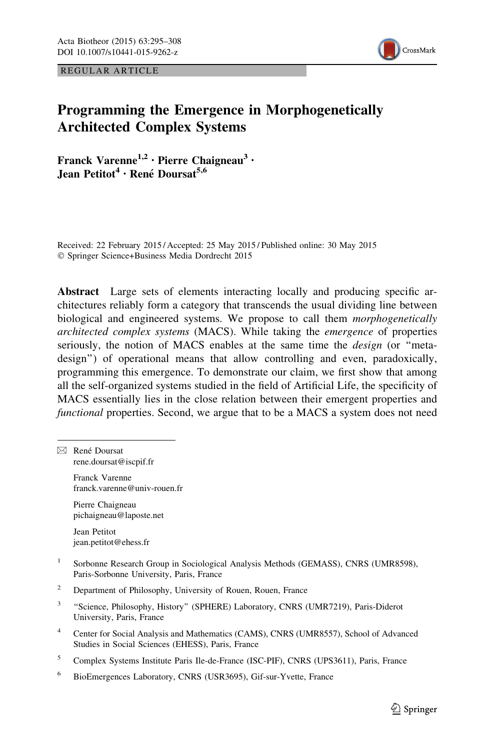REGULAR ARTICLE



# Programming the Emergence in Morphogenetically Architected Complex Systems

Franck Varenne<sup>1,2</sup> · Pierre Chaigneau<sup>3</sup> · Jean Petitot<sup>4</sup> · René Doursat<sup>5,6</sup>

Received: 22 February 2015 / Accepted: 25 May 2015 / Published online: 30 May 2015 - Springer Science+Business Media Dordrecht 2015

Abstract Large sets of elements interacting locally and producing specific architectures reliably form a category that transcends the usual dividing line between biological and engineered systems. We propose to call them morphogenetically architected complex systems (MACS). While taking the emergence of properties seriously, the notion of MACS enables at the same time the *design* (or "metadesign'') of operational means that allow controlling and even, paradoxically, programming this emergence. To demonstrate our claim, we first show that among all the self-organized systems studied in the field of Artificial Life, the specificity of MACS essentially lies in the close relation between their emergent properties and functional properties. Second, we argue that to be a MACS a system does not need

 $\boxtimes$  René Doursat rene.doursat@iscpif.fr

> Franck Varenne franck.varenne@univ-rouen.fr

Pierre Chaigneau pichaigneau@laposte.net

Jean Petitot jean.petitot@ehess.fr

- <sup>1</sup> Sorbonne Research Group in Sociological Analysis Methods (GEMASS), CNRS (UMR8598), Paris-Sorbonne University, Paris, France
- <sup>2</sup> Department of Philosophy, University of Rouen, Rouen, France
- <sup>3</sup> "Science, Philosophy, History" (SPHERE) Laboratory, CNRS (UMR7219), Paris-Diderot University, Paris, France
- <sup>4</sup> Center for Social Analysis and Mathematics (CAMS), CNRS (UMR8557), School of Advanced Studies in Social Sciences (EHESS), Paris, France
- <sup>5</sup> Complex Systems Institute Paris Ile-de-France (ISC-PIF), CNRS (UPS3611), Paris, France
- <sup>6</sup> BioEmergences Laboratory, CNRS (USR3695), Gif-sur-Yvette, France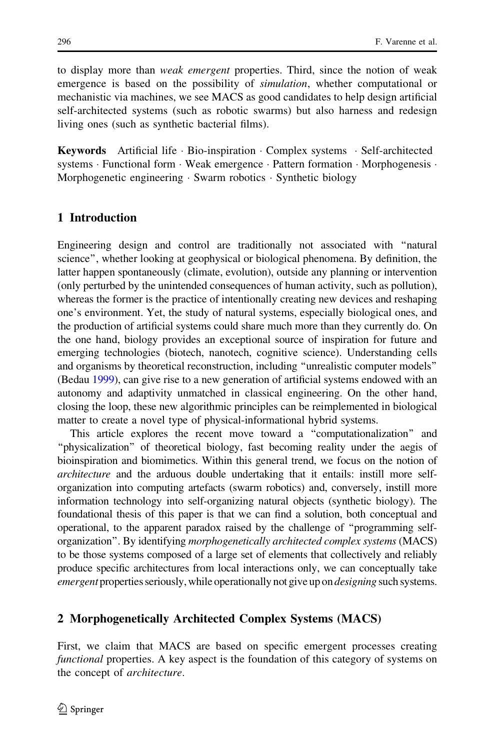to display more than *weak emergent* properties. Third, since the notion of weak emergence is based on the possibility of simulation, whether computational or mechanistic via machines, we see MACS as good candidates to help design artificial self-architected systems (such as robotic swarms) but also harness and redesign living ones (such as synthetic bacterial films).

Keywords Artificial life - Bio-inspiration - Complex systems - Self-architected systems · Functional form · Weak emergence · Pattern formation · Morphogenesis · Morphogenetic engineering - Swarm robotics - Synthetic biology

# 1 Introduction

Engineering design and control are traditionally not associated with ''natural science'', whether looking at geophysical or biological phenomena. By definition, the latter happen spontaneously (climate, evolution), outside any planning or intervention (only perturbed by the unintended consequences of human activity, such as pollution), whereas the former is the practice of intentionally creating new devices and reshaping one's environment. Yet, the study of natural systems, especially biological ones, and the production of artificial systems could share much more than they currently do. On the one hand, biology provides an exceptional source of inspiration for future and emerging technologies (biotech, nanotech, cognitive science). Understanding cells and organisms by theoretical reconstruction, including ''unrealistic computer models'' (Bedau [1999](#page-11-0)), can give rise to a new generation of artificial systems endowed with an autonomy and adaptivity unmatched in classical engineering. On the other hand, closing the loop, these new algorithmic principles can be reimplemented in biological matter to create a novel type of physical-informational hybrid systems.

This article explores the recent move toward a ''computationalization'' and ''physicalization'' of theoretical biology, fast becoming reality under the aegis of bioinspiration and biomimetics. Within this general trend, we focus on the notion of architecture and the arduous double undertaking that it entails: instill more selforganization into computing artefacts (swarm robotics) and, conversely, instill more information technology into self-organizing natural objects (synthetic biology). The foundational thesis of this paper is that we can find a solution, both conceptual and operational, to the apparent paradox raised by the challenge of ''programming selforganization''. By identifying morphogenetically architected complex systems (MACS) to be those systems composed of a large set of elements that collectively and reliably produce specific architectures from local interactions only, we can conceptually take emergent properties seriously, while operationally not give up on *designing* such systems.

## 2 Morphogenetically Architected Complex Systems (MACS)

First, we claim that MACS are based on specific emergent processes creating functional properties. A key aspect is the foundation of this category of systems on the concept of architecture.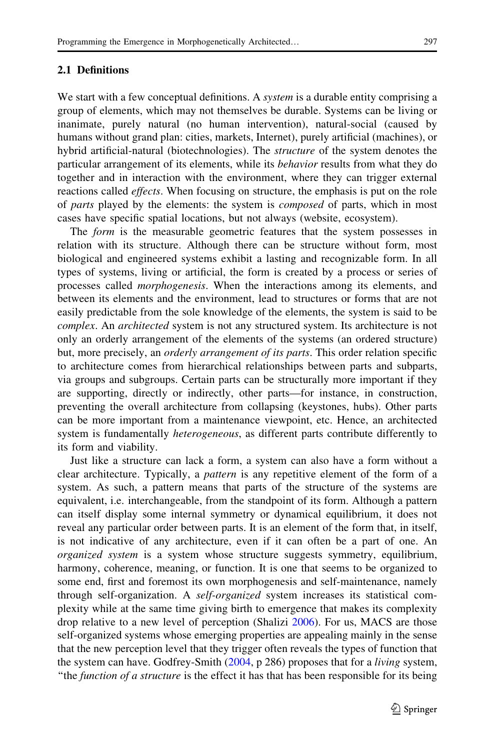We start with a few conceptual definitions. A *system* is a durable entity comprising a group of elements, which may not themselves be durable. Systems can be living or inanimate, purely natural (no human intervention), natural-social (caused by humans without grand plan: cities, markets, Internet), purely artificial (machines), or hybrid artificial-natural (biotechnologies). The *structure* of the system denotes the particular arrangement of its elements, while its behavior results from what they do together and in interaction with the environment, where they can trigger external reactions called effects. When focusing on structure, the emphasis is put on the role of parts played by the elements: the system is composed of parts, which in most cases have specific spatial locations, but not always (website, ecosystem).

The *form* is the measurable geometric features that the system possesses in relation with its structure. Although there can be structure without form, most biological and engineered systems exhibit a lasting and recognizable form. In all types of systems, living or artificial, the form is created by a process or series of processes called morphogenesis. When the interactions among its elements, and between its elements and the environment, lead to structures or forms that are not easily predictable from the sole knowledge of the elements, the system is said to be complex. An architected system is not any structured system. Its architecture is not only an orderly arrangement of the elements of the systems (an ordered structure) but, more precisely, an *orderly arrangement of its parts*. This order relation specific to architecture comes from hierarchical relationships between parts and subparts, via groups and subgroups. Certain parts can be structurally more important if they are supporting, directly or indirectly, other parts—for instance, in construction, preventing the overall architecture from collapsing (keystones, hubs). Other parts can be more important from a maintenance viewpoint, etc. Hence, an architected system is fundamentally *heterogeneous*, as different parts contribute differently to its form and viability.

Just like a structure can lack a form, a system can also have a form without a clear architecture. Typically, a pattern is any repetitive element of the form of a system. As such, a pattern means that parts of the structure of the systems are equivalent, i.e. interchangeable, from the standpoint of its form. Although a pattern can itself display some internal symmetry or dynamical equilibrium, it does not reveal any particular order between parts. It is an element of the form that, in itself, is not indicative of any architecture, even if it can often be a part of one. An organized system is a system whose structure suggests symmetry, equilibrium, harmony, coherence, meaning, or function. It is one that seems to be organized to some end, first and foremost its own morphogenesis and self-maintenance, namely through self-organization. A self-organized system increases its statistical complexity while at the same time giving birth to emergence that makes its complexity drop relative to a new level of perception (Shalizi [2006](#page-12-0)). For us, MACS are those self-organized systems whose emerging properties are appealing mainly in the sense that the new perception level that they trigger often reveals the types of function that the system can have. Godfrey-Smith ([2004,](#page-12-0) p 286) proposes that for a living system, ''the function of a structure is the effect it has that has been responsible for its being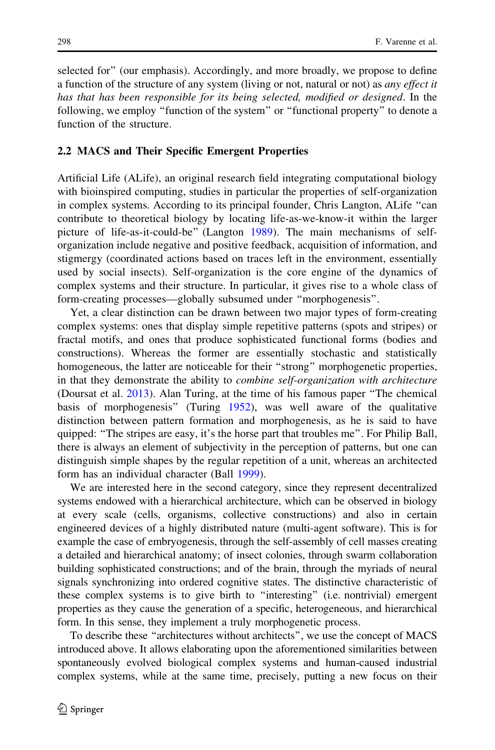selected for'' (our emphasis). Accordingly, and more broadly, we propose to define a function of the structure of any system (living or not, natural or not) as any effect it has that has been responsible for its being selected, modified or designed. In the following, we employ ''function of the system'' or ''functional property'' to denote a function of the structure.

#### 2.2 MACS and Their Specific Emergent Properties

Artificial Life (ALife), an original research field integrating computational biology with bioinspired computing, studies in particular the properties of self-organization in complex systems. According to its principal founder, Chris Langton, ALife ''can contribute to theoretical biology by locating life-as-we-know-it within the larger picture of life-as-it-could-be" (Langton [1989](#page-12-0)). The main mechanisms of selforganization include negative and positive feedback, acquisition of information, and stigmergy (coordinated actions based on traces left in the environment, essentially used by social insects). Self-organization is the core engine of the dynamics of complex systems and their structure. In particular, it gives rise to a whole class of form-creating processes—globally subsumed under ''morphogenesis''.

Yet, a clear distinction can be drawn between two major types of form-creating complex systems: ones that display simple repetitive patterns (spots and stripes) or fractal motifs, and ones that produce sophisticated functional forms (bodies and constructions). Whereas the former are essentially stochastic and statistically homogeneous, the latter are noticeable for their ''strong'' morphogenetic properties, in that they demonstrate the ability to combine self-organization with architecture (Doursat et al. [2013](#page-12-0)). Alan Turing, at the time of his famous paper ''The chemical basis of morphogenesis'' (Turing [1952\)](#page-12-0), was well aware of the qualitative distinction between pattern formation and morphogenesis, as he is said to have quipped: ''The stripes are easy, it's the horse part that troubles me''. For Philip Ball, there is always an element of subjectivity in the perception of patterns, but one can distinguish simple shapes by the regular repetition of a unit, whereas an architected form has an individual character (Ball [1999\)](#page-11-0).

We are interested here in the second category, since they represent decentralized systems endowed with a hierarchical architecture, which can be observed in biology at every scale (cells, organisms, collective constructions) and also in certain engineered devices of a highly distributed nature (multi-agent software). This is for example the case of embryogenesis, through the self-assembly of cell masses creating a detailed and hierarchical anatomy; of insect colonies, through swarm collaboration building sophisticated constructions; and of the brain, through the myriads of neural signals synchronizing into ordered cognitive states. The distinctive characteristic of these complex systems is to give birth to ''interesting'' (i.e. nontrivial) emergent properties as they cause the generation of a specific, heterogeneous, and hierarchical form. In this sense, they implement a truly morphogenetic process.

To describe these ''architectures without architects'', we use the concept of MACS introduced above. It allows elaborating upon the aforementioned similarities between spontaneously evolved biological complex systems and human-caused industrial complex systems, while at the same time, precisely, putting a new focus on their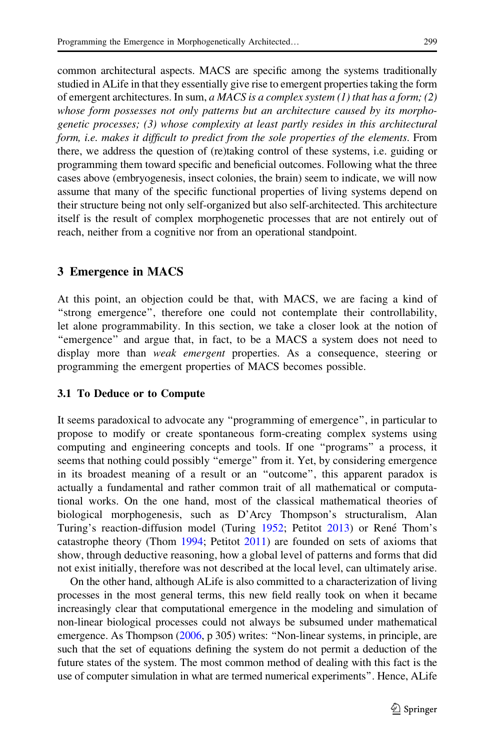common architectural aspects. MACS are specific among the systems traditionally studied in ALife in that they essentially give rise to emergent properties taking the form of emergent architectures. In sum,  $a$  MACS is a complex system (1) that has a form; (2) whose form possesses not only patterns but an architecture caused by its morphogenetic processes; (3) whose complexity at least partly resides in this architectural form, i.e. makes it difficult to predict from the sole properties of the elements. From there, we address the question of (re)taking control of these systems, i.e. guiding or programming them toward specific and beneficial outcomes. Following what the three cases above (embryogenesis, insect colonies, the brain) seem to indicate, we will now assume that many of the specific functional properties of living systems depend on their structure being not only self-organized but also self-architected. This architecture itself is the result of complex morphogenetic processes that are not entirely out of reach, neither from a cognitive nor from an operational standpoint.

#### 3 Emergence in MACS

At this point, an objection could be that, with MACS, we are facing a kind of ''strong emergence'', therefore one could not contemplate their controllability, let alone programmability. In this section, we take a closer look at the notion of ''emergence'' and argue that, in fact, to be a MACS a system does not need to display more than weak emergent properties. As a consequence, steering or programming the emergent properties of MACS becomes possible.

#### 3.1 To Deduce or to Compute

It seems paradoxical to advocate any ''programming of emergence'', in particular to propose to modify or create spontaneous form-creating complex systems using computing and engineering concepts and tools. If one ''programs'' a process, it seems that nothing could possibly ''emerge'' from it. Yet, by considering emergence in its broadest meaning of a result or an ''outcome'', this apparent paradox is actually a fundamental and rather common trait of all mathematical or computational works. On the one hand, most of the classical mathematical theories of biological morphogenesis, such as D'Arcy Thompson's structuralism, Alan Turing's reaction-diffusion model (Turing [1952;](#page-12-0) Petitot [2013\)](#page-12-0) or René Thom's catastrophe theory (Thom [1994;](#page-12-0) Petitot [2011\)](#page-12-0) are founded on sets of axioms that show, through deductive reasoning, how a global level of patterns and forms that did not exist initially, therefore was not described at the local level, can ultimately arise.

On the other hand, although ALife is also committed to a characterization of living processes in the most general terms, this new field really took on when it became increasingly clear that computational emergence in the modeling and simulation of non-linear biological processes could not always be subsumed under mathematical emergence. As Thompson [\(2006,](#page-12-0) p 305) writes: "Non-linear systems, in principle, are such that the set of equations defining the system do not permit a deduction of the future states of the system. The most common method of dealing with this fact is the use of computer simulation in what are termed numerical experiments''. Hence, ALife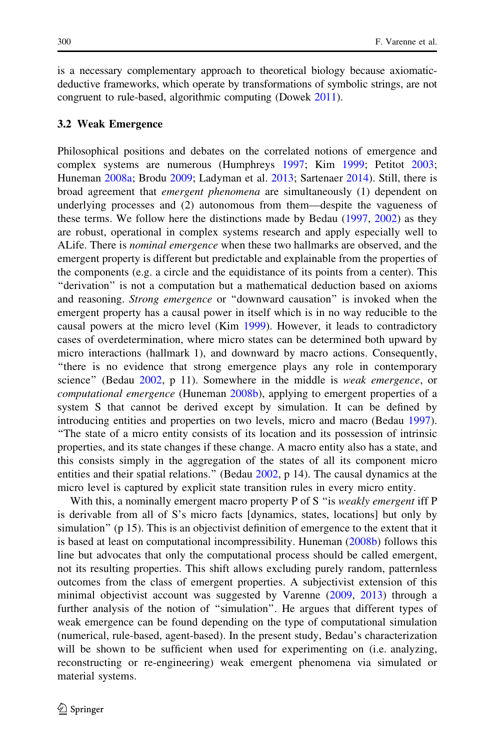is a necessary complementary approach to theoretical biology because axiomaticdeductive frameworks, which operate by transformations of symbolic strings, are not congruent to rule-based, algorithmic computing (Dowek [2011\)](#page-12-0).

#### 3.2 Weak Emergence

Philosophical positions and debates on the correlated notions of emergence and complex systems are numerous (Humphreys [1997;](#page-12-0) Kim [1999;](#page-12-0) Petitot [2003;](#page-12-0) Huneman [2008a](#page-12-0); Brodu [2009](#page-11-0); Ladyman et al. [2013](#page-12-0); Sartenaer [2014\)](#page-12-0). Still, there is broad agreement that *emergent phenomena* are simultaneously (1) dependent on underlying processes and (2) autonomous from them—despite the vagueness of these terms. We follow here the distinctions made by Bedau ([1997,](#page-11-0) [2002\)](#page-11-0) as they are robust, operational in complex systems research and apply especially well to ALife. There is *nominal emergence* when these two hallmarks are observed, and the emergent property is different but predictable and explainable from the properties of the components (e.g. a circle and the equidistance of its points from a center). This ''derivation'' is not a computation but a mathematical deduction based on axioms and reasoning. Strong emergence or ''downward causation'' is invoked when the emergent property has a causal power in itself which is in no way reducible to the causal powers at the micro level (Kim [1999](#page-12-0)). However, it leads to contradictory cases of overdetermination, where micro states can be determined both upward by micro interactions (hallmark 1), and downward by macro actions. Consequently, ''there is no evidence that strong emergence plays any role in contemporary science" (Bedau [2002,](#page-11-0) p 11). Somewhere in the middle is weak emergence, or computational emergence (Huneman [2008b](#page-12-0)), applying to emergent properties of a system S that cannot be derived except by simulation. It can be defined by introducing entities and properties on two levels, micro and macro (Bedau [1997\)](#page-11-0). ''The state of a micro entity consists of its location and its possession of intrinsic properties, and its state changes if these change. A macro entity also has a state, and this consists simply in the aggregation of the states of all its component micro entities and their spatial relations." (Bedau [2002](#page-11-0), p 14). The causal dynamics at the micro level is captured by explicit state transition rules in every micro entity.

With this, a nominally emergent macro property P of S "is weakly emergent iff P is derivable from all of S's micro facts [dynamics, states, locations] but only by simulation'' (p 15). This is an objectivist definition of emergence to the extent that it is based at least on computational incompressibility. Huneman [\(2008b](#page-12-0)) follows this line but advocates that only the computational process should be called emergent, not its resulting properties. This shift allows excluding purely random, patternless outcomes from the class of emergent properties. A subjectivist extension of this minimal objectivist account was suggested by Varenne ([2009,](#page-13-0) [2013\)](#page-13-0) through a further analysis of the notion of ''simulation''. He argues that different types of weak emergence can be found depending on the type of computational simulation (numerical, rule-based, agent-based). In the present study, Bedau's characterization will be shown to be sufficient when used for experimenting on (i.e. analyzing, reconstructing or re-engineering) weak emergent phenomena via simulated or material systems.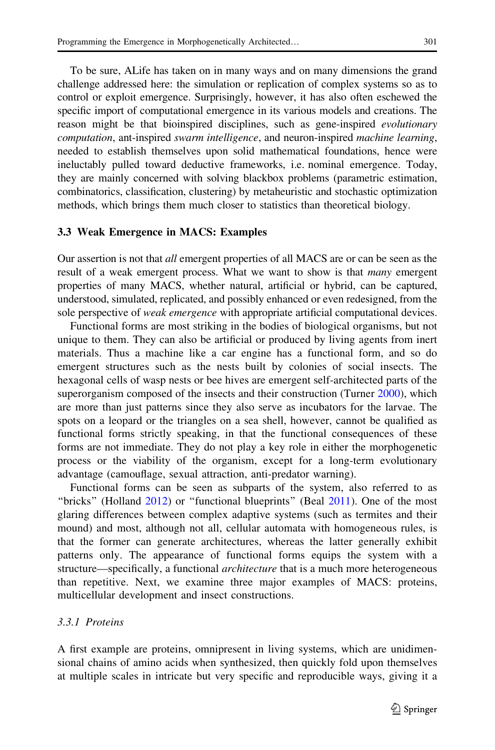To be sure, ALife has taken on in many ways and on many dimensions the grand challenge addressed here: the simulation or replication of complex systems so as to control or exploit emergence. Surprisingly, however, it has also often eschewed the specific import of computational emergence in its various models and creations. The reason might be that bioinspired disciplines, such as gene-inspired evolutionary computation, ant-inspired swarm intelligence, and neuron-inspired machine learning, needed to establish themselves upon solid mathematical foundations, hence were ineluctably pulled toward deductive frameworks, i.e. nominal emergence. Today, they are mainly concerned with solving blackbox problems (parametric estimation, combinatorics, classification, clustering) by metaheuristic and stochastic optimization methods, which brings them much closer to statistics than theoretical biology.

#### 3.3 Weak Emergence in MACS: Examples

Our assertion is not that *all* emergent properties of all MACS are or can be seen as the result of a weak emergent process. What we want to show is that *many* emergent properties of many MACS, whether natural, artificial or hybrid, can be captured, understood, simulated, replicated, and possibly enhanced or even redesigned, from the sole perspective of *weak emergence* with appropriate artificial computational devices.

Functional forms are most striking in the bodies of biological organisms, but not unique to them. They can also be artificial or produced by living agents from inert materials. Thus a machine like a car engine has a functional form, and so do emergent structures such as the nests built by colonies of social insects. The hexagonal cells of wasp nests or bee hives are emergent self-architected parts of the superorganism composed of the insects and their construction (Turner [2000](#page-13-0)), which are more than just patterns since they also serve as incubators for the larvae. The spots on a leopard or the triangles on a sea shell, however, cannot be qualified as functional forms strictly speaking, in that the functional consequences of these forms are not immediate. They do not play a key role in either the morphogenetic process or the viability of the organism, except for a long-term evolutionary advantage (camouflage, sexual attraction, anti-predator warning).

Functional forms can be seen as subparts of the system, also referred to as "bricks" (Holland [2012](#page-12-0)) or "functional blueprints" (Beal [2011\)](#page-11-0). One of the most glaring differences between complex adaptive systems (such as termites and their mound) and most, although not all, cellular automata with homogeneous rules, is that the former can generate architectures, whereas the latter generally exhibit patterns only. The appearance of functional forms equips the system with a structure—specifically, a functional *architecture* that is a much more heterogeneous than repetitive. Next, we examine three major examples of MACS: proteins, multicellular development and insect constructions.

#### 3.3.1 Proteins

A first example are proteins, omnipresent in living systems, which are unidimensional chains of amino acids when synthesized, then quickly fold upon themselves at multiple scales in intricate but very specific and reproducible ways, giving it a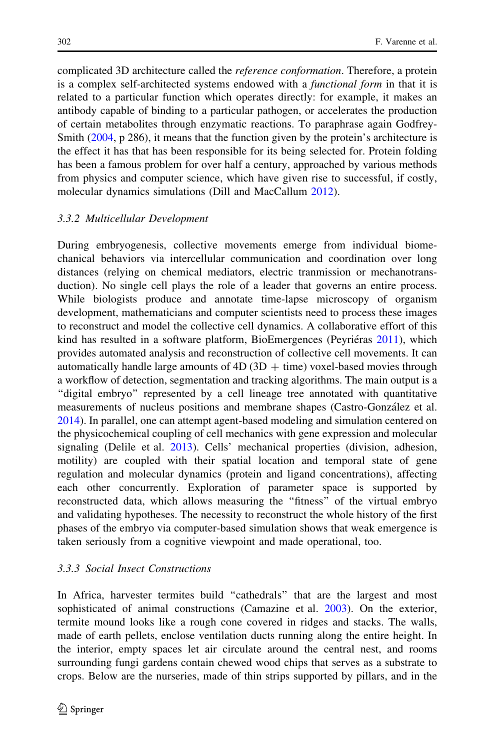complicated 3D architecture called the reference conformation. Therefore, a protein is a complex self-architected systems endowed with a *functional form* in that it is related to a particular function which operates directly: for example, it makes an antibody capable of binding to a particular pathogen, or accelerates the production of certain metabolites through enzymatic reactions. To paraphrase again Godfrey-Smith ([2004,](#page-12-0) p 286), it means that the function given by the protein's architecture is the effect it has that has been responsible for its being selected for. Protein folding has been a famous problem for over half a century, approached by various methods from physics and computer science, which have given rise to successful, if costly, molecular dynamics simulations (Dill and MacCallum [2012](#page-12-0)).

#### 3.3.2 Multicellular Development

During embryogenesis, collective movements emerge from individual biomechanical behaviors via intercellular communication and coordination over long distances (relying on chemical mediators, electric tranmission or mechanotransduction). No single cell plays the role of a leader that governs an entire process. While biologists produce and annotate time-lapse microscopy of organism development, mathematicians and computer scientists need to process these images to reconstruct and model the collective cell dynamics. A collaborative effort of this kind has resulted in a software platform, BioEmergences (Peyriéras  $2011$ ), which provides automated analysis and reconstruction of collective cell movements. It can automatically handle large amounts of  $4D(3D + time)$  voxel-based movies through a workflow of detection, segmentation and tracking algorithms. The main output is a "digital embryo" represented by a cell lineage tree annotated with quantitative measurements of nucleus positions and membrane shapes (Castro-González et al. [2014\)](#page-12-0). In parallel, one can attempt agent-based modeling and simulation centered on the physicochemical coupling of cell mechanics with gene expression and molecular signaling (Delile et al. [2013](#page-12-0)). Cells' mechanical properties (division, adhesion, motility) are coupled with their spatial location and temporal state of gene regulation and molecular dynamics (protein and ligand concentrations), affecting each other concurrently. Exploration of parameter space is supported by reconstructed data, which allows measuring the ''fitness'' of the virtual embryo and validating hypotheses. The necessity to reconstruct the whole history of the first phases of the embryo via computer-based simulation shows that weak emergence is taken seriously from a cognitive viewpoint and made operational, too.

# 3.3.3 Social Insect Constructions

In Africa, harvester termites build ''cathedrals'' that are the largest and most sophisticated of animal constructions (Camazine et al. [2003](#page-12-0)). On the exterior, termite mound looks like a rough cone covered in ridges and stacks. The walls, made of earth pellets, enclose ventilation ducts running along the entire height. In the interior, empty spaces let air circulate around the central nest, and rooms surrounding fungi gardens contain chewed wood chips that serves as a substrate to crops. Below are the nurseries, made of thin strips supported by pillars, and in the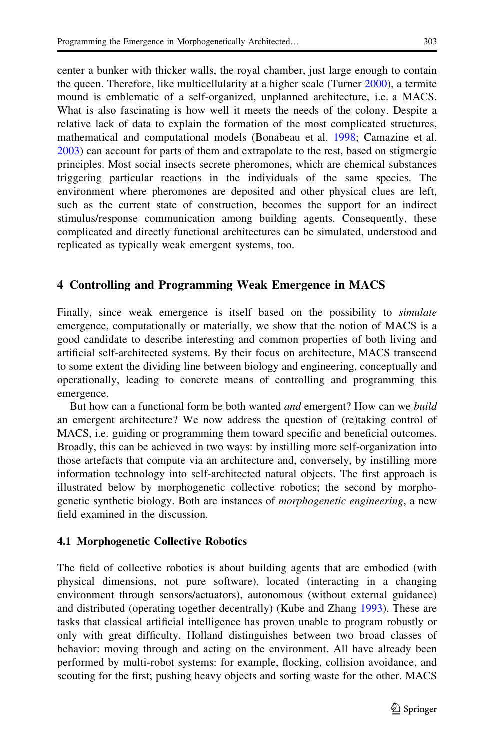center a bunker with thicker walls, the royal chamber, just large enough to contain the queen. Therefore, like multicellularity at a higher scale (Turner [2000](#page-13-0)), a termite mound is emblematic of a self-organized, unplanned architecture, i.e. a MACS. What is also fascinating is how well it meets the needs of the colony. Despite a relative lack of data to explain the formation of the most complicated structures, mathematical and computational models (Bonabeau et al. [1998](#page-11-0); Camazine et al. [2003\)](#page-12-0) can account for parts of them and extrapolate to the rest, based on stigmergic principles. Most social insects secrete pheromones, which are chemical substances triggering particular reactions in the individuals of the same species. The environment where pheromones are deposited and other physical clues are left, such as the current state of construction, becomes the support for an indirect stimulus/response communication among building agents. Consequently, these complicated and directly functional architectures can be simulated, understood and replicated as typically weak emergent systems, too.

# 4 Controlling and Programming Weak Emergence in MACS

Finally, since weak emergence is itself based on the possibility to *simulate* emergence, computationally or materially, we show that the notion of MACS is a good candidate to describe interesting and common properties of both living and artificial self-architected systems. By their focus on architecture, MACS transcend to some extent the dividing line between biology and engineering, conceptually and operationally, leading to concrete means of controlling and programming this emergence.

But how can a functional form be both wanted *and* emergent? How can we *build* an emergent architecture? We now address the question of (re)taking control of MACS, i.e. guiding or programming them toward specific and beneficial outcomes. Broadly, this can be achieved in two ways: by instilling more self-organization into those artefacts that compute via an architecture and, conversely, by instilling more information technology into self-architected natural objects. The first approach is illustrated below by morphogenetic collective robotics; the second by morphogenetic synthetic biology. Both are instances of morphogenetic engineering, a new field examined in the discussion.

# 4.1 Morphogenetic Collective Robotics

The field of collective robotics is about building agents that are embodied (with physical dimensions, not pure software), located (interacting in a changing environment through sensors/actuators), autonomous (without external guidance) and distributed (operating together decentrally) (Kube and Zhang [1993](#page-12-0)). These are tasks that classical artificial intelligence has proven unable to program robustly or only with great difficulty. Holland distinguishes between two broad classes of behavior: moving through and acting on the environment. All have already been performed by multi-robot systems: for example, flocking, collision avoidance, and scouting for the first; pushing heavy objects and sorting waste for the other. MACS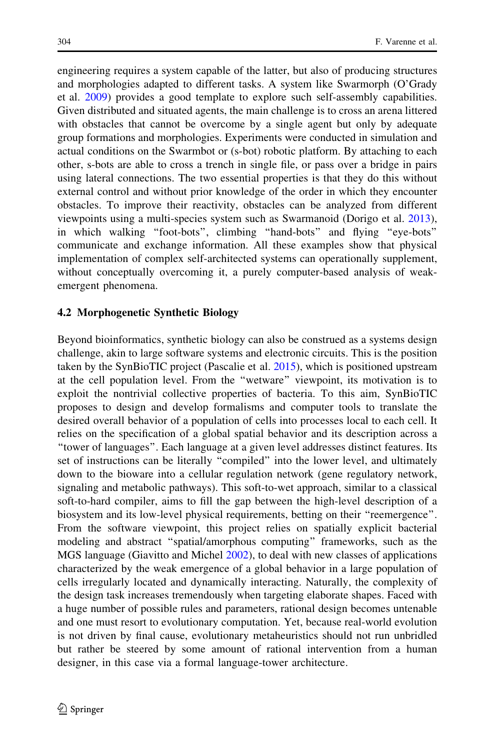engineering requires a system capable of the latter, but also of producing structures and morphologies adapted to different tasks. A system like Swarmorph (O'Grady et al. [2009](#page-12-0)) provides a good template to explore such self-assembly capabilities. Given distributed and situated agents, the main challenge is to cross an arena littered with obstacles that cannot be overcome by a single agent but only by adequate group formations and morphologies. Experiments were conducted in simulation and actual conditions on the Swarmbot or (s-bot) robotic platform. By attaching to each other, s-bots are able to cross a trench in single file, or pass over a bridge in pairs using lateral connections. The two essential properties is that they do this without external control and without prior knowledge of the order in which they encounter obstacles. To improve their reactivity, obstacles can be analyzed from different viewpoints using a multi-species system such as Swarmanoid (Dorigo et al. [2013\)](#page-12-0), in which walking ''foot-bots'', climbing ''hand-bots'' and flying ''eye-bots'' communicate and exchange information. All these examples show that physical implementation of complex self-architected systems can operationally supplement, without conceptually overcoming it, a purely computer-based analysis of weakemergent phenomena.

#### 4.2 Morphogenetic Synthetic Biology

Beyond bioinformatics, synthetic biology can also be construed as a systems design challenge, akin to large software systems and electronic circuits. This is the position taken by the SynBioTIC project (Pascalie et al. [2015\)](#page-12-0), which is positioned upstream at the cell population level. From the ''wetware'' viewpoint, its motivation is to exploit the nontrivial collective properties of bacteria. To this aim, SynBioTIC proposes to design and develop formalisms and computer tools to translate the desired overall behavior of a population of cells into processes local to each cell. It relies on the specification of a global spatial behavior and its description across a ''tower of languages''. Each language at a given level addresses distinct features. Its set of instructions can be literally ''compiled'' into the lower level, and ultimately down to the bioware into a cellular regulation network (gene regulatory network, signaling and metabolic pathways). This soft-to-wet approach, similar to a classical soft-to-hard compiler, aims to fill the gap between the high-level description of a biosystem and its low-level physical requirements, betting on their ''reemergence''. From the software viewpoint, this project relies on spatially explicit bacterial modeling and abstract ''spatial/amorphous computing'' frameworks, such as the MGS language (Giavitto and Michel [2002\)](#page-12-0), to deal with new classes of applications characterized by the weak emergence of a global behavior in a large population of cells irregularly located and dynamically interacting. Naturally, the complexity of the design task increases tremendously when targeting elaborate shapes. Faced with a huge number of possible rules and parameters, rational design becomes untenable and one must resort to evolutionary computation. Yet, because real-world evolution is not driven by final cause, evolutionary metaheuristics should not run unbridled but rather be steered by some amount of rational intervention from a human designer, in this case via a formal language-tower architecture.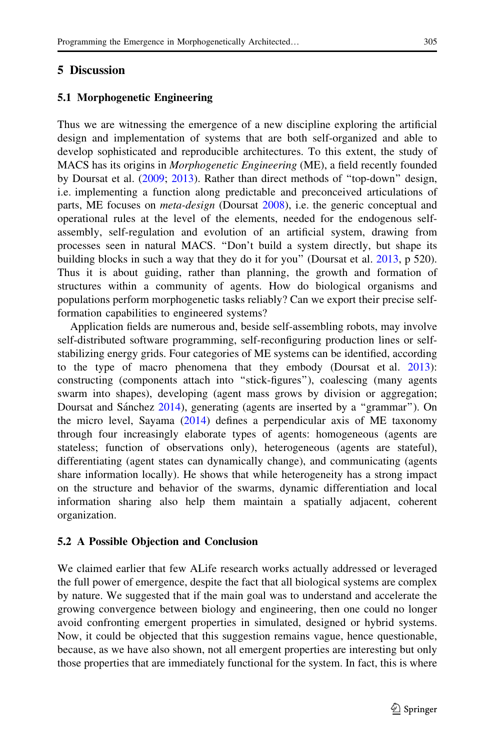#### 5 Discussion

#### 5.1 Morphogenetic Engineering

Thus we are witnessing the emergence of a new discipline exploring the artificial design and implementation of systems that are both self-organized and able to develop sophisticated and reproducible architectures. To this extent, the study of MACS has its origins in *Morphogenetic Engineering* (ME), a field recently founded by Doursat et al. [\(2009](#page-12-0); [2013](#page-12-0)). Rather than direct methods of ''top-down'' design, i.e. implementing a function along predictable and preconceived articulations of parts, ME focuses on meta-design (Doursat [2008](#page-12-0)), i.e. the generic conceptual and operational rules at the level of the elements, needed for the endogenous selfassembly, self-regulation and evolution of an artificial system, drawing from processes seen in natural MACS. ''Don't build a system directly, but shape its building blocks in such a way that they do it for you" (Doursat et al. [2013](#page-12-0), p 520). Thus it is about guiding, rather than planning, the growth and formation of structures within a community of agents. How do biological organisms and populations perform morphogenetic tasks reliably? Can we export their precise selfformation capabilities to engineered systems?

Application fields are numerous and, beside self-assembling robots, may involve self-distributed software programming, self-reconfiguring production lines or selfstabilizing energy grids. Four categories of ME systems can be identified, according to the type of macro phenomena that they embody (Doursat et al. [2013](#page-12-0)): constructing (components attach into ''stick-figures''), coalescing (many agents swarm into shapes), developing (agent mass grows by division or aggregation; Doursat and Sánchez [2014\)](#page-12-0), generating (agents are inserted by a "grammar"). On the micro level, Sayama [\(2014](#page-12-0)) defines a perpendicular axis of ME taxonomy through four increasingly elaborate types of agents: homogeneous (agents are stateless; function of observations only), heterogeneous (agents are stateful), differentiating (agent states can dynamically change), and communicating (agents share information locally). He shows that while heterogeneity has a strong impact on the structure and behavior of the swarms, dynamic differentiation and local information sharing also help them maintain a spatially adjacent, coherent organization.

#### 5.2 A Possible Objection and Conclusion

We claimed earlier that few ALife research works actually addressed or leveraged the full power of emergence, despite the fact that all biological systems are complex by nature. We suggested that if the main goal was to understand and accelerate the growing convergence between biology and engineering, then one could no longer avoid confronting emergent properties in simulated, designed or hybrid systems. Now, it could be objected that this suggestion remains vague, hence questionable, because, as we have also shown, not all emergent properties are interesting but only those properties that are immediately functional for the system. In fact, this is where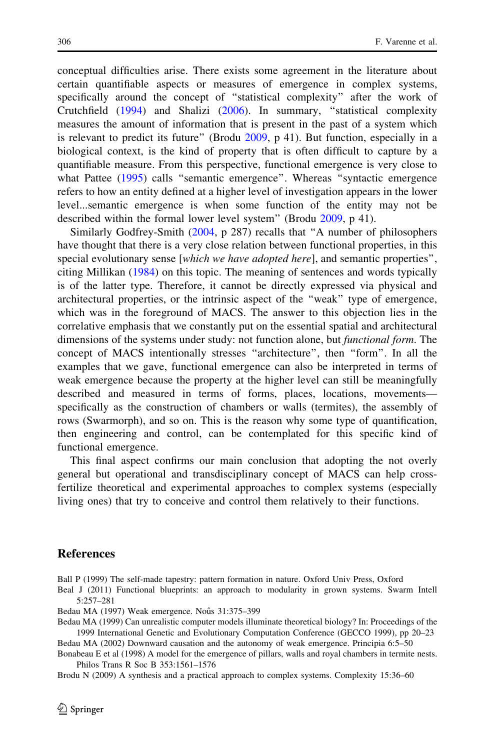<span id="page-11-0"></span>conceptual difficulties arise. There exists some agreement in the literature about certain quantifiable aspects or measures of emergence in complex systems, specifically around the concept of ''statistical complexity'' after the work of Crutchfield ([1994\)](#page-12-0) and Shalizi [\(2006](#page-12-0)). In summary, ''statistical complexity measures the amount of information that is present in the past of a system which is relevant to predict its future" (Brodu  $2009$ , p 41). But function, especially in a biological context, is the kind of property that is often difficult to capture by a quantifiable measure. From this perspective, functional emergence is very close to what Pattee [\(1995](#page-12-0)) calls "semantic emergence". Whereas "syntactic emergence" refers to how an entity defined at a higher level of investigation appears in the lower level...semantic emergence is when some function of the entity may not be described within the formal lower level system'' (Brodu 2009, p 41).

Similarly Godfrey-Smith ([2004,](#page-12-0) p 287) recalls that ''A number of philosophers have thought that there is a very close relation between functional properties, in this special evolutionary sense [which we have adopted here], and semantic properties", citing Millikan ([1984\)](#page-12-0) on this topic. The meaning of sentences and words typically is of the latter type. Therefore, it cannot be directly expressed via physical and architectural properties, or the intrinsic aspect of the ''weak'' type of emergence, which was in the foreground of MACS. The answer to this objection lies in the correlative emphasis that we constantly put on the essential spatial and architectural dimensions of the systems under study: not function alone, but *functional form*. The concept of MACS intentionally stresses ''architecture'', then ''form''. In all the examples that we gave, functional emergence can also be interpreted in terms of weak emergence because the property at the higher level can still be meaningfully described and measured in terms of forms, places, locations, movements specifically as the construction of chambers or walls (termites), the assembly of rows (Swarmorph), and so on. This is the reason why some type of quantification, then engineering and control, can be contemplated for this specific kind of functional emergence.

This final aspect confirms our main conclusion that adopting the not overly general but operational and transdisciplinary concept of MACS can help crossfertilize theoretical and experimental approaches to complex systems (especially living ones) that try to conceive and control them relatively to their functions.

# References

Ball P (1999) The self-made tapestry: pattern formation in nature. Oxford Univ Press, Oxford

Beal J (2011) Functional blueprints: an approach to modularity in grown systems. Swarm Intell 5:257–281

Bedau MA (1997) Weak emergence. Noûs 31:375-399

Bedau MA (2002) Downward causation and the autonomy of weak emergence. Principia 6:5–50

Bonabeau E et al (1998) A model for the emergence of pillars, walls and royal chambers in termite nests. Philos Trans R Soc B 353:1561–1576

Brodu N (2009) A synthesis and a practical approach to complex systems. Complexity 15:36–60

Bedau MA (1999) Can unrealistic computer models illuminate theoretical biology? In: Proceedings of the 1999 International Genetic and Evolutionary Computation Conference (GECCO 1999), pp 20–23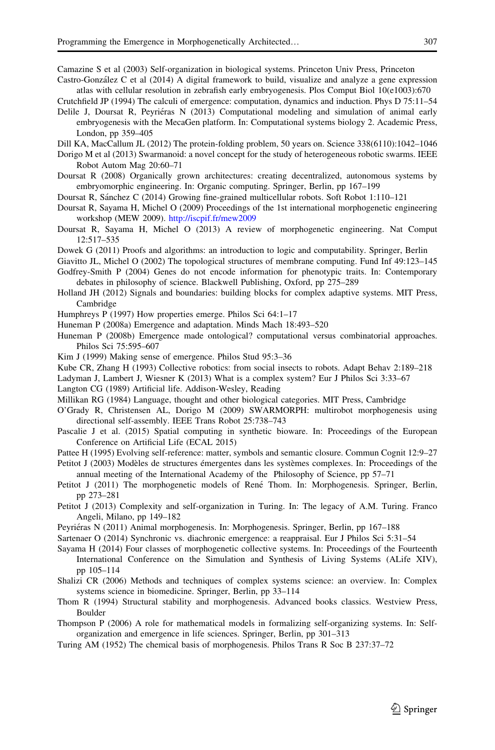<span id="page-12-0"></span>Camazine S et al (2003) Self-organization in biological systems. Princeton Univ Press, Princeton

- Castro-González C et al (2014) A digital framework to build, visualize and analyze a gene expression atlas with cellular resolution in zebrafish early embryogenesis. Plos Comput Biol 10(e1003):670
- Crutchfield JP (1994) The calculi of emergence: computation, dynamics and induction. Phys D 75:11–54 Delile J, Doursat R, Peyriéras N (2013) Computational modeling and simulation of animal early
- embryogenesis with the MecaGen platform. In: Computational systems biology 2. Academic Press, London, pp 359–405

Dill KA, MacCallum JL (2012) The protein-folding problem, 50 years on. Science 338(6110):1042–1046

- Dorigo M et al (2013) Swarmanoid: a novel concept for the study of heterogeneous robotic swarms. IEEE Robot Autom Mag 20:60–71
- Doursat R (2008) Organically grown architectures: creating decentralized, autonomous systems by embryomorphic engineering. In: Organic computing. Springer, Berlin, pp 167–199
- Doursat R, Sánchez C (2014) Growing fine-grained multicellular robots. Soft Robot 1:110–121
- Doursat R, Sayama H, Michel O (2009) Proceedings of the 1st international morphogenetic engineering workshop (MEW 2009). <http://iscpif.fr/mew2009>
- Doursat R, Sayama H, Michel O (2013) A review of morphogenetic engineering. Nat Comput 12:517–535
- Dowek G (2011) Proofs and algorithms: an introduction to logic and computability. Springer, Berlin
- Giavitto JL, Michel O (2002) The topological structures of membrane computing. Fund Inf 49:123–145 Godfrey-Smith P (2004) Genes do not encode information for phenotypic traits. In: Contemporary
- debates in philosophy of science. Blackwell Publishing, Oxford, pp 275–289
- Holland JH (2012) Signals and boundaries: building blocks for complex adaptive systems. MIT Press, Cambridge
- Humphreys P (1997) How properties emerge. Philos Sci 64:1–17
- Huneman P (2008a) Emergence and adaptation. Minds Mach 18:493–520
- Huneman P (2008b) Emergence made ontological? computational versus combinatorial approaches. Philos Sci 75:595–607
- Kim J (1999) Making sense of emergence. Philos Stud 95:3–36
- Kube CR, Zhang H (1993) Collective robotics: from social insects to robots. Adapt Behav 2:189–218
- Ladyman J, Lambert J, Wiesner K (2013) What is a complex system? Eur J Philos Sci 3:33–67
- Langton CG (1989) Artificial life. Addison-Wesley, Reading
- Millikan RG (1984) Language, thought and other biological categories. MIT Press, Cambridge
- O'Grady R, Christensen AL, Dorigo M (2009) SWARMORPH: multirobot morphogenesis using directional self-assembly. IEEE Trans Robot 25:738–743
- Pascalie J et al. (2015) Spatial computing in synthetic bioware. In: Proceedings of the European Conference on Artificial Life (ECAL 2015)
- Pattee H (1995) Evolving self-reference: matter, symbols and semantic closure. Commun Cognit 12:9–27
- Petitot J (2003) Modèles de structures émergentes dans les systèmes complexes. In: Proceedings of the annual meeting of the International Academy of the Philosophy of Science, pp 57–71
- Petitot J (2011) The morphogenetic models of René Thom. In: Morphogenesis. Springer, Berlin, pp 273–281
- Petitot J (2013) Complexity and self-organization in Turing. In: The legacy of A.M. Turing. Franco Angeli, Milano, pp 149–182
- Peyriéras N (2011) Animal morphogenesis. In: Morphogenesis. Springer, Berlin, pp 167–188
- Sartenaer O (2014) Synchronic vs. diachronic emergence: a reappraisal. Eur J Philos Sci 5:31–54
- Sayama H (2014) Four classes of morphogenetic collective systems. In: Proceedings of the Fourteenth International Conference on the Simulation and Synthesis of Living Systems (ALife XIV), pp 105–114
- Shalizi CR (2006) Methods and techniques of complex systems science: an overview. In: Complex systems science in biomedicine. Springer, Berlin, pp 33–114
- Thom R (1994) Structural stability and morphogenesis. Advanced books classics. Westview Press, Boulder
- Thompson P (2006) A role for mathematical models in formalizing self-organizing systems. In: Selforganization and emergence in life sciences. Springer, Berlin, pp 301–313
- Turing AM (1952) The chemical basis of morphogenesis. Philos Trans R Soc B 237:37–72